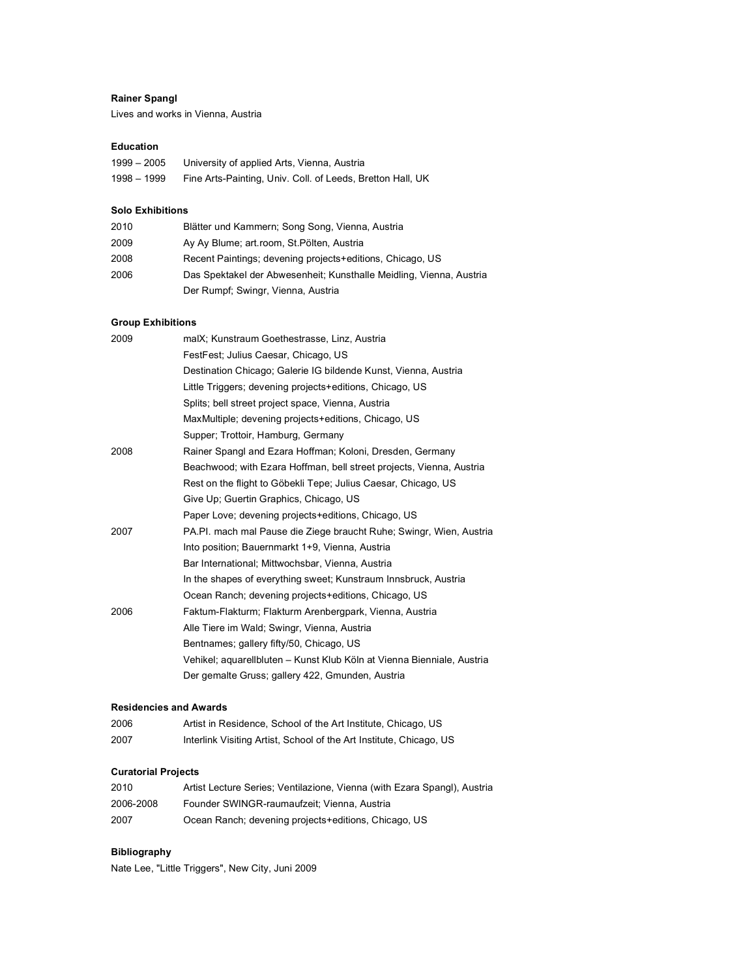# **Rainer Spangl**

Lives and works in Vienna, Austria

## **Education**

| $1999 - 2005$ | University of applied Arts, Vienna, Austria                |
|---------------|------------------------------------------------------------|
| 1998 – 1999   | Fine Arts-Painting, Univ. Coll. of Leeds, Bretton Hall, UK |

## **Solo Exhibitions**

| 2010 | Blätter und Kammern; Song Song, Vienna, Austria                     |
|------|---------------------------------------------------------------------|
| 2009 | Ay Ay Blume; art.room, St. Pölten, Austria                          |
| 2008 | Recent Paintings; devening projects+editions, Chicago, US           |
| 2006 | Das Spektakel der Abwesenheit; Kunsthalle Meidling, Vienna, Austria |
|      | Der Rumpf; Swingr, Vienna, Austria                                  |

# **Group Exhibitions**

| 2009 | malX; Kunstraum Goethestrasse, Linz, Austria                           |
|------|------------------------------------------------------------------------|
|      | FestFest: Julius Caesar, Chicago, US                                   |
|      | Destination Chicago; Galerie IG bildende Kunst, Vienna, Austria        |
|      | Little Triggers; devening projects+editions, Chicago, US               |
|      | Splits; bell street project space, Vienna, Austria                     |
|      | MaxMultiple; devening projects+editions, Chicago, US                   |
|      | Supper: Trottoir, Hamburg, Germany                                     |
| 2008 | Rainer Spangl and Ezara Hoffman; Koloni, Dresden, Germany              |
|      | Beachwood; with Ezara Hoffman, bell street projects, Vienna, Austria   |
|      | Rest on the flight to Göbekli Tepe; Julius Caesar, Chicago, US         |
|      | Give Up; Guertin Graphics, Chicago, US                                 |
|      | Paper Love; devening projects+editions, Chicago, US                    |
| 2007 | PA.PI. mach mal Pause die Ziege braucht Ruhe; Swingr, Wien, Austria    |
|      | Into position; Bauernmarkt 1+9, Vienna, Austria                        |
|      | Bar International; Mittwochsbar, Vienna, Austria                       |
|      | In the shapes of everything sweet; Kunstraum Innsbruck, Austria        |
|      | Ocean Ranch; devening projects+editions, Chicago, US                   |
| 2006 | Faktum-Flakturm; Flakturm Arenbergpark, Vienna, Austria                |
|      | Alle Tiere im Wald; Swingr, Vienna, Austria                            |
|      | Bentnames; gallery fifty/50, Chicago, US                               |
|      | Vehikel; aquarellbluten – Kunst Klub Köln at Vienna Bienniale, Austria |
|      | Der gemalte Gruss; gallery 422, Gmunden, Austria                       |
|      |                                                                        |

### **Residencies and Awards**

| 2006 | Artist in Residence, School of the Art Institute, Chicago, US       |
|------|---------------------------------------------------------------------|
| 2007 | Interlink Visiting Artist, School of the Art Institute, Chicago, US |

#### **Curatorial Projects**

| 2010      | Artist Lecture Series; Ventilazione, Vienna (with Ezara Spangl), Austria |
|-----------|--------------------------------------------------------------------------|
| 2006-2008 | Founder SWINGR-raumaufzeit: Vienna. Austria                              |
| 2007      | Ocean Ranch; devening projects+editions, Chicago, US                     |

# **Bibliography**

Nate Lee, "Little Triggers", New City, Juni 2009